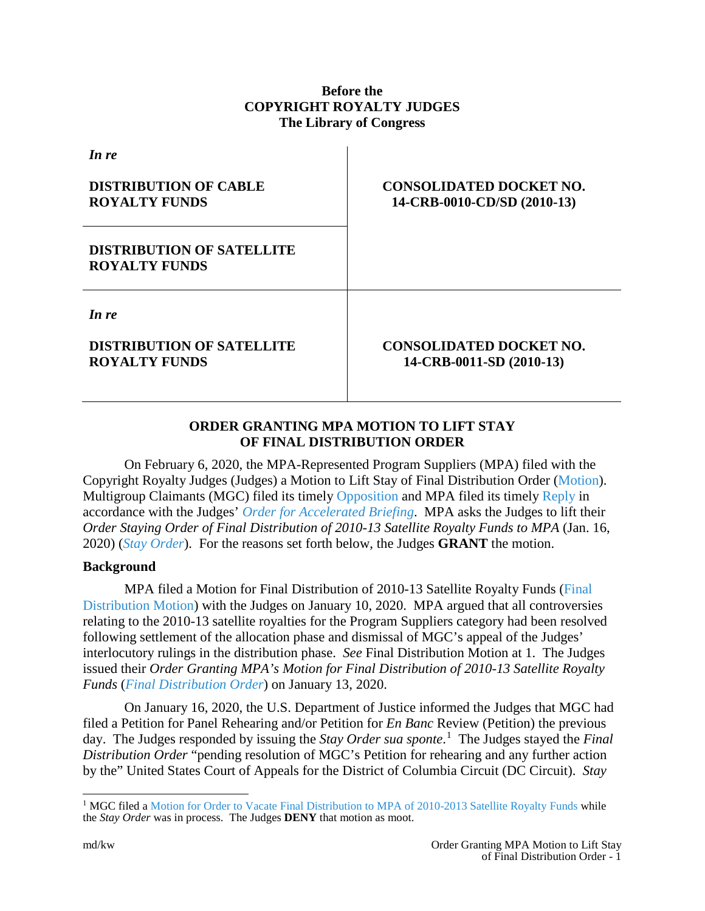# **Before the COPYRIGHT ROYALTY JUDGES The Library of Congress**

| <b>CONSOLIDATED DOCKET NO.</b><br>14-CRB-0010-CD/SD (2010-13) |
|---------------------------------------------------------------|
|                                                               |
| <b>CONSOLIDATED DOCKET NO.</b><br>14-CRB-0011-SD (2010-13)    |
|                                                               |

# **ORDER GRANTING MPA MOTION TO LIFT STAY OF FINAL DISTRIBUTION ORDER**

On February 6, 2020, the MPA-Represented Program Suppliers (MPA) filed with the Copyright Royalty Judges (Judges) a Motion to Lift Stay of Final Distribution Order [\(Motion\)](https://app.crb.gov/case/viewDocument/21008). Multigroup Claimants (MGC) filed its timely [Opposition](https://app.crb.gov/case/viewDocument/21017) and MPA filed its timely [Reply](https://app.crb.gov/case/viewDocument/21024) in accordance with the Judges' *[Order for Accelerated Briefing](https://app.crb.gov/case/viewDocument/21013)*. MPA asks the Judges to lift their *Order Staying Order of Final Distribution of 2010-13 Satellite Royalty Funds to MPA* (Jan. 16, 2020) (*[Stay Order](https://app.crb.gov/case/viewDocument/20267)*). For the reasons set forth below, the Judges **GRANT** the motion.

### **Background**

MPA filed a Motion for Final Distribution of 2010-13 Satellite Royalty Funds [\(Final](https://app.crb.gov/case/viewDocument/20225)  [Distribution Motion\)](https://app.crb.gov/case/viewDocument/20225) with the Judges on January 10, 2020. MPA argued that all controversies relating to the 2010-13 satellite royalties for the Program Suppliers category had been resolved following settlement of the allocation phase and dismissal of MGC's appeal of the Judges' interlocutory rulings in the distribution phase. *See* Final Distribution Motion at 1. The Judges issued their *Order Granting MPA's Motion for Final Distribution of 2010-13 Satellite Royalty Funds* (*[Final Distribution Order](https://app.crb.gov/case/viewDocument/20236)*) on January 13, 2020.

On January 16, 2020, the U.S. Department of Justice informed the Judges that MGC had filed a Petition for Panel Rehearing and/or Petition for *En Banc* Review (Petition) the previous day. The Judges responded by issuing the *Stay Order sua sponte*. [1](#page-0-0) The Judges stayed the *Final Distribution Order* "pending resolution of MGC's Petition for rehearing and any further action by the" United States Court of Appeals for the District of Columbia Circuit (DC Circuit). *Stay* 

<span id="page-0-0"></span><sup>&</sup>lt;sup>1</sup> MGC filed a [Motion for Order to Vacate Final Distribution to MPA of 2010-2013 Satellite Royalty Funds](https://app.crb.gov/case/viewDocument/20272) while the *Stay Order* was in process. The Judges **DENY** that motion as moot.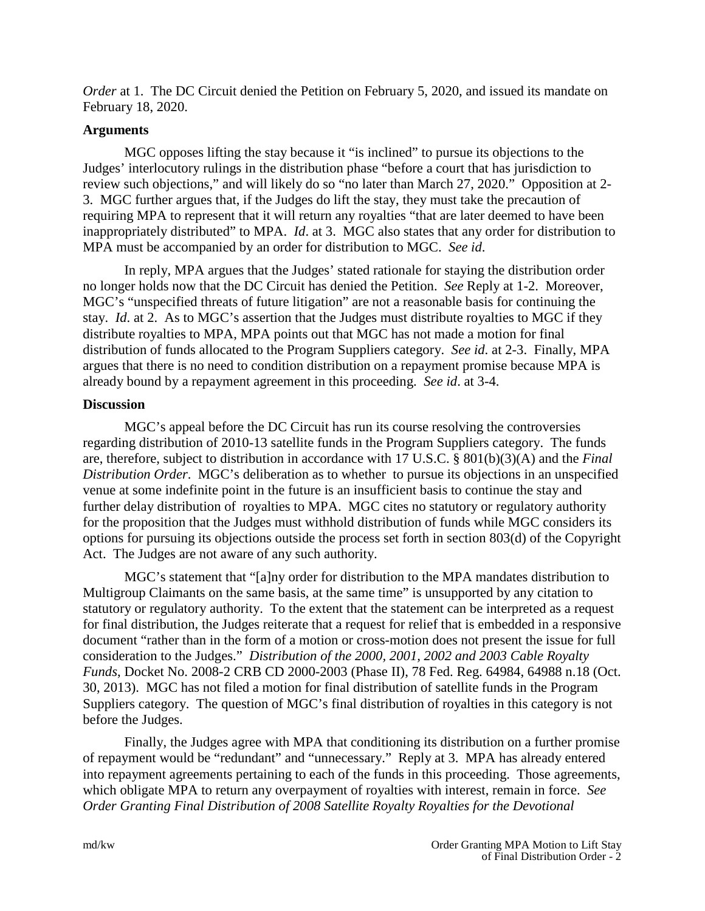*Order* at 1. The DC Circuit denied the Petition on February 5, 2020, and issued its mandate on February 18, 2020.

## **Arguments**

MGC opposes lifting the stay because it "is inclined" to pursue its objections to the Judges' interlocutory rulings in the distribution phase "before a court that has jurisdiction to review such objections," and will likely do so "no later than March 27, 2020." Opposition at 2- 3. MGC further argues that, if the Judges do lift the stay, they must take the precaution of requiring MPA to represent that it will return any royalties "that are later deemed to have been inappropriately distributed" to MPA. *Id*. at 3. MGC also states that any order for distribution to MPA must be accompanied by an order for distribution to MGC. *See id*.

In reply, MPA argues that the Judges' stated rationale for staying the distribution order no longer holds now that the DC Circuit has denied the Petition. *See* Reply at 1-2. Moreover, MGC's "unspecified threats of future litigation" are not a reasonable basis for continuing the stay. *Id*. at 2. As to MGC's assertion that the Judges must distribute royalties to MGC if they distribute royalties to MPA, MPA points out that MGC has not made a motion for final distribution of funds allocated to the Program Suppliers category. *See id*. at 2-3. Finally, MPA argues that there is no need to condition distribution on a repayment promise because MPA is already bound by a repayment agreement in this proceeding. *See id*. at 3-4.

## **Discussion**

MGC's appeal before the DC Circuit has run its course resolving the controversies regarding distribution of 2010-13 satellite funds in the Program Suppliers category. The funds are, therefore, subject to distribution in accordance with 17 U.S.C. § 801(b)(3)(A) and the *Final Distribution Order*. MGC's deliberation as to whether to pursue its objections in an unspecified venue at some indefinite point in the future is an insufficient basis to continue the stay and further delay distribution of royalties to MPA. MGC cites no statutory or regulatory authority for the proposition that the Judges must withhold distribution of funds while MGC considers its options for pursuing its objections outside the process set forth in section 803(d) of the Copyright Act. The Judges are not aware of any such authority.

MGC's statement that "[a]ny order for distribution to the MPA mandates distribution to Multigroup Claimants on the same basis, at the same time" is unsupported by any citation to statutory or regulatory authority. To the extent that the statement can be interpreted as a request for final distribution, the Judges reiterate that a request for relief that is embedded in a responsive document "rather than in the form of a motion or cross-motion does not present the issue for full consideration to the Judges." *Distribution of the 2000, 2001, 2002 and 2003 Cable Royalty Funds*, Docket No. 2008-2 CRB CD 2000-2003 (Phase II), 78 Fed. Reg. 64984, 64988 n.18 (Oct. 30, 2013). MGC has not filed a motion for final distribution of satellite funds in the Program Suppliers category. The question of MGC's final distribution of royalties in this category is not before the Judges.

Finally, the Judges agree with MPA that conditioning its distribution on a further promise of repayment would be "redundant" and "unnecessary." Reply at 3. MPA has already entered into repayment agreements pertaining to each of the funds in this proceeding. Those agreements, which obligate MPA to return any overpayment of royalties with interest, remain in force. *See Order Granting Final Distribution of 2008 Satellite Royalty Royalties for the Devotional*